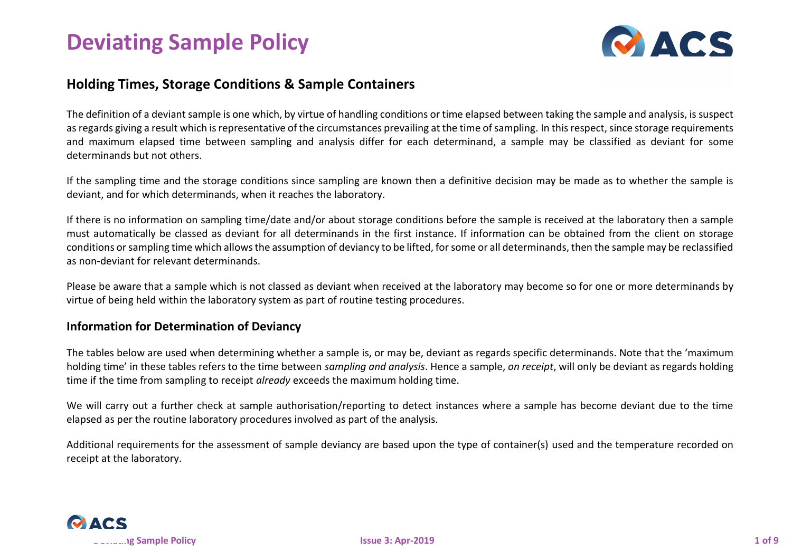# **Deviating Sample Policy**

### **Holding Times, Storage Conditions & Sample Containers**

The definition of a deviant sample is one which, by virtue of handling conditions or time elapsed between taking the sample and analysis, is suspect as regards giving a result which is representative of the circumstances prevailing at the time of sampling. In this respect, since storage requirements and maximum elapsed time between sampling and analysis differ for each determinand, a sample may be classified as deviant for some determinands but not others.

If the sampling time and the storage conditions since sampling are known then a definitive decision may be made as to whether the sample is deviant, and for which determinands, when it reaches the laboratory.

If there is no information on sampling time/date and/or about storage conditions before the sample is received at the laboratory then a sample must automatically be classed as deviant for all determinands in the first instance. If information can be obtained from the client on storage conditions or sampling time which allows the assumption of deviancy to be lifted, for some or all determinands, then the sample may be reclassified as non-deviant for relevant determinands.

Please be aware that a sample which is not classed as deviant when received at the laboratory may become so for one or more determinands by virtue of being held within the laboratory system as part of routine testing procedures.

#### **Information for Determination of Deviancy**

The tables below are used when determining whether a sample is, or may be, deviant as regards specific determinands. Note that the 'maximum holding time' in these tables refers to the time between *sampling and analysis*. Hence a sample, *on receipt*, will only be deviant as regards holding time if the time from sampling to receipt *already* exceeds the maximum holding time.

We will carry out a further check at sample authorisation/reporting to detect instances where a sample has become deviant due to the time elapsed as per the routine laboratory procedures involved as part of the analysis.

Additional requirements for the assessment of sample deviancy are based upon the type of container(s) used and the temperature recorded on receipt at the laboratory.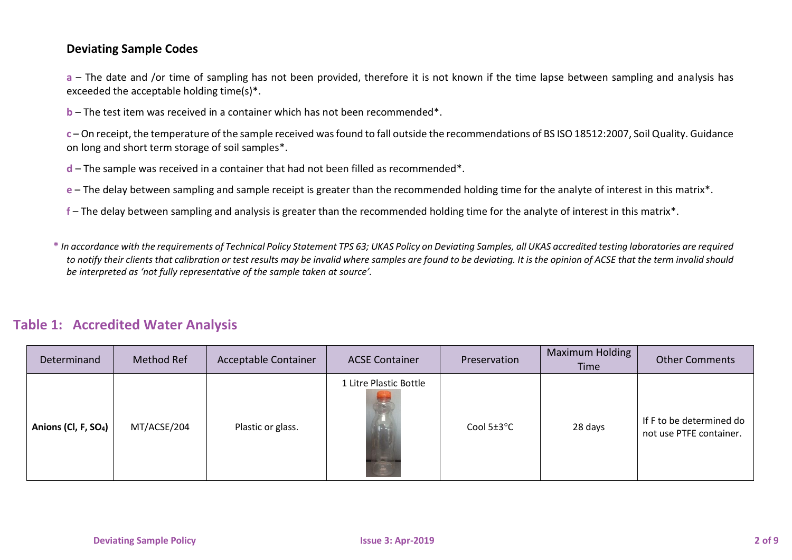#### **Deviating Sample Codes**

**a** – The date and /or time of sampling has not been provided, therefore it is not known if the time lapse between sampling and analysis has exceeded the acceptable holding time(s)\*.

**b** – The test item was received in a container which has not been recommended\*.

**c** – On receipt, the temperature of the sample received was found to fall outside the recommendations of BS ISO 18512:2007, Soil Quality. Guidance on long and short term storage of soil samples\*.

- **d**  The sample was received in a container that had not been filled as recommended\*.
- **e**  The delay between sampling and sample receipt is greater than the recommended holding time for the analyte of interest in this matrix\*.
- **f**  The delay between sampling and analysis is greater than the recommended holding time for the analyte of interest in this matrix\*.

**\*** *In accordance with the requirements of Technical Policy Statement TPS 63; UKAS Policy on Deviating Samples, all UKAS accredited testing laboratories are required to notify their clients that calibration or test results may be invalid where samples are found to be deviating. It is the opinion of ACSE that the term invalid should be interpreted as 'not fully representative of the sample taken at source'.*

#### **Table 1: Accredited Water Analysis**

| Determinand                      | Method Ref  | Acceptable Container | <b>ACSE Container</b>          | Preservation    | Maximum Holding<br>Time | <b>Other Comments</b>                               |
|----------------------------------|-------------|----------------------|--------------------------------|-----------------|-------------------------|-----------------------------------------------------|
| Anions (Cl, F, SO <sub>4</sub> ) | MT/ACSE/204 | Plastic or glass.    | 1 Litre Plastic Bottle<br>أتكر | Cool $5\pm3$ °C | 28 days                 | If F to be determined do<br>not use PTFE container. |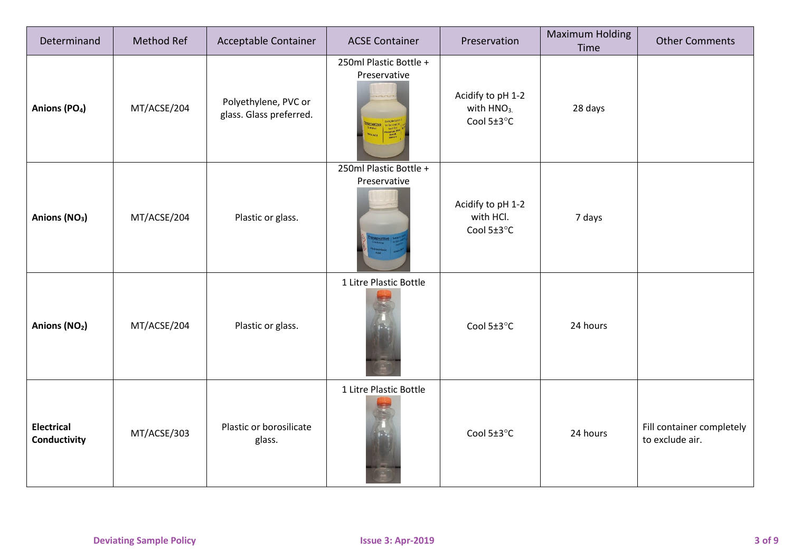| Determinand                       | Method Ref  | Acceptable Container                            | <b>ACSE Container</b>                  | Preservation                                              | <b>Maximum Holding</b><br>Time | <b>Other Comments</b>                        |
|-----------------------------------|-------------|-------------------------------------------------|----------------------------------------|-----------------------------------------------------------|--------------------------------|----------------------------------------------|
| Anions (PO <sub>4</sub> )         | MT/ACSE/204 | Polyethylene, PVC or<br>glass. Glass preferred. | 250ml Plastic Bottle +<br>Preservative | Acidify to pH 1-2<br>with HNO <sub>3.</sub><br>Cool 5±3°C | 28 days                        |                                              |
| Anions (NO <sub>3</sub> )         | MT/ACSE/204 | Plastic or glass.                               | 250ml Plastic Bottle +<br>Preservative | Acidify to pH 1-2<br>with HCl.<br>Cool 5±3°C              | 7 days                         |                                              |
| Anions (NO <sub>2</sub> )         | MT/ACSE/204 | Plastic or glass.                               | 1 Litre Plastic Bottle                 | Cool 5±3°C                                                | 24 hours                       |                                              |
| <b>Electrical</b><br>Conductivity | MT/ACSE/303 | Plastic or borosilicate<br>glass.               | 1 Litre Plastic Bottle<br>F            | Cool 5±3°C                                                | 24 hours                       | Fill container completely<br>to exclude air. |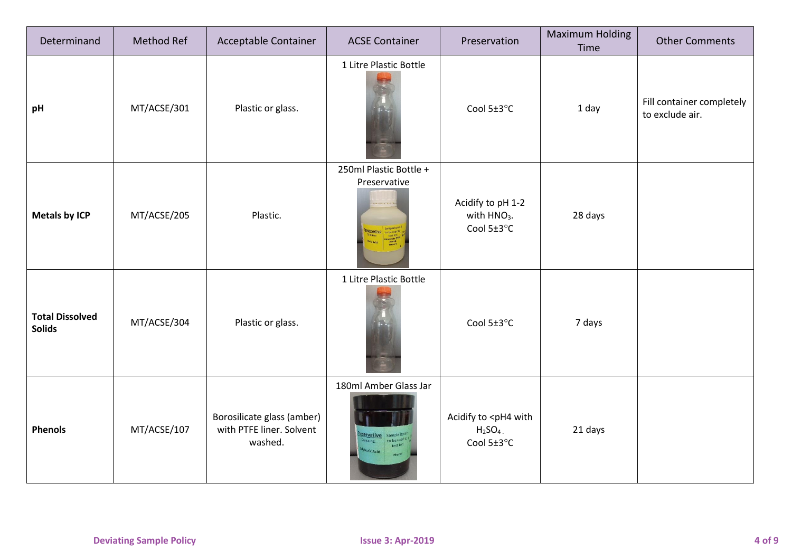| Determinand                             | Method Ref  | Acceptable Container                                              | <b>ACSE Container</b>                     | Preservation                                                        | <b>Maximum Holding</b><br>Time | <b>Other Comments</b>                        |
|-----------------------------------------|-------------|-------------------------------------------------------------------|-------------------------------------------|---------------------------------------------------------------------|--------------------------------|----------------------------------------------|
| pH                                      | MT/ACSE/301 | Plastic or glass.                                                 | 1 Litre Plastic Bottle                    | Cool 5±3°C                                                          | 1 day                          | Fill container completely<br>to exclude air. |
| <b>Metals by ICP</b>                    | MT/ACSE/205 | Plastic.                                                          | 250ml Plastic Bottle +<br>Preservative    | Acidify to pH 1-2<br>with HNO <sub>3</sub> .<br>Cool 5±3°C          | 28 days                        |                                              |
| <b>Total Dissolved</b><br><b>Solids</b> | MT/ACSE/304 | Plastic or glass.                                                 | 1 Litre Plastic Bottle                    | Cool 5±3°C                                                          | 7 days                         |                                              |
| <b>Phenols</b>                          | MT/ACSE/107 | Borosilicate glass (amber)<br>with PTFE liner. Solvent<br>washed. | 180ml Amber Glass Jar<br><b>jervative</b> | Acidify to <ph4 with<br=""><math>H2SO4</math>.<br/>Cool 5±3°C</ph4> | 21 days                        |                                              |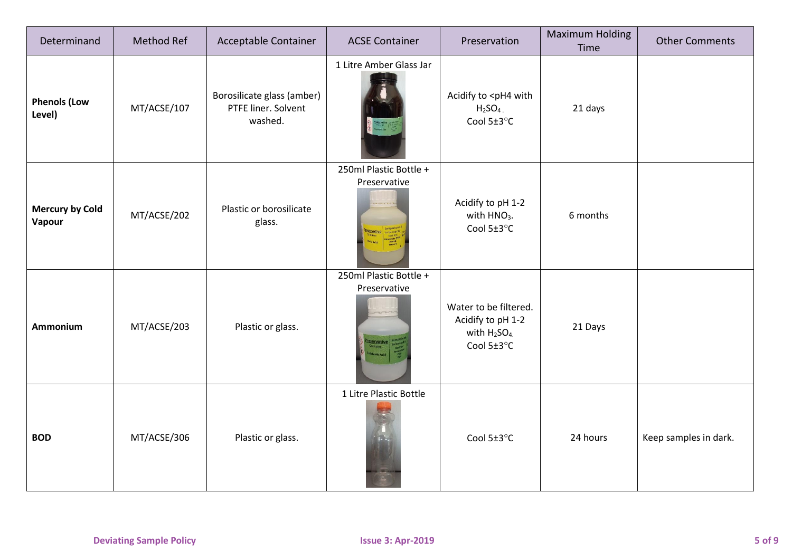| Determinand                      | Method Ref  | Acceptable Container                                         | <b>ACSE Container</b>                              | Preservation                                                                 | <b>Maximum Holding</b><br>Time | <b>Other Comments</b> |
|----------------------------------|-------------|--------------------------------------------------------------|----------------------------------------------------|------------------------------------------------------------------------------|--------------------------------|-----------------------|
| <b>Phenols (Low</b><br>Level)    | MT/ACSE/107 | Borosilicate glass (amber)<br>PTFE liner. Solvent<br>washed. | 1 Litre Amber Glass Jar                            | Acidify to <ph4 with<br=""><math>H2SO4</math>.<br/>Cool 5±3°C</ph4>          | 21 days                        |                       |
| <b>Mercury by Cold</b><br>Vapour | MT/ACSE/202 | Plastic or borosilicate<br>glass.                            | 250ml Plastic Bottle +<br>Preservative             | Acidify to pH 1-2<br>with HNO <sub>3</sub> .<br>Cool 5±3°C                   | 6 months                       |                       |
| Ammonium                         | MT/ACSE/203 | Plastic or glass.                                            | 250ml Plastic Bottle +<br>Preservative<br>ervative | Water to be filtered.<br>Acidify to pH 1-2<br>with $H_2SO_4$ .<br>Cool 5±3°C | 21 Days                        |                       |
| <b>BOD</b>                       | MT/ACSE/306 | Plastic or glass.                                            | 1 Litre Plastic Bottle<br>$\mathbf{F}$             | Cool 5±3°C                                                                   | 24 hours                       | Keep samples in dark. |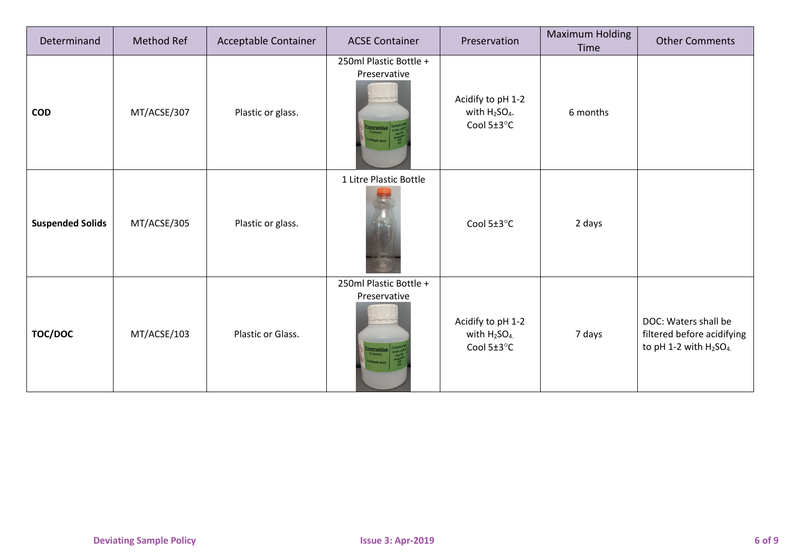| Determinand             | Method Ref  | Acceptable Container | <b>ACSE Container</b>                                                  | Preservation                                                             | <b>Maximum Holding</b><br>Time | <b>Other Comments</b>                                                                                |
|-------------------------|-------------|----------------------|------------------------------------------------------------------------|--------------------------------------------------------------------------|--------------------------------|------------------------------------------------------------------------------------------------------|
| <b>COD</b>              | MT/ACSE/307 | Plastic or glass.    | 250ml Plastic Bottle +<br>Preservative<br><b>Eservative</b>            | Acidify to pH 1-2<br>with H <sub>2</sub> SO <sub>4</sub> .<br>Cool 5±3°C | 6 months                       |                                                                                                      |
| <b>Suspended Solids</b> | MT/ACSE/305 | Plastic or glass.    | 1 Litre Plastic Bottle                                                 | Cool $5\pm3$ °C                                                          | 2 days                         |                                                                                                      |
| <b>TOC/DOC</b>          | MT/ACSE/103 | Plastic or Glass.    | 250ml Plastic Bottle +<br>Preservative<br>non<br><b>SSErvative</b> Sam | Acidify to pH 1-2<br>with $H_2SO_4$ .<br>Cool 5±3°C                      | 7 days                         | DOC: Waters shall be<br>filtered before acidifying<br>to pH 1-2 with H <sub>2</sub> SO <sub>4.</sub> |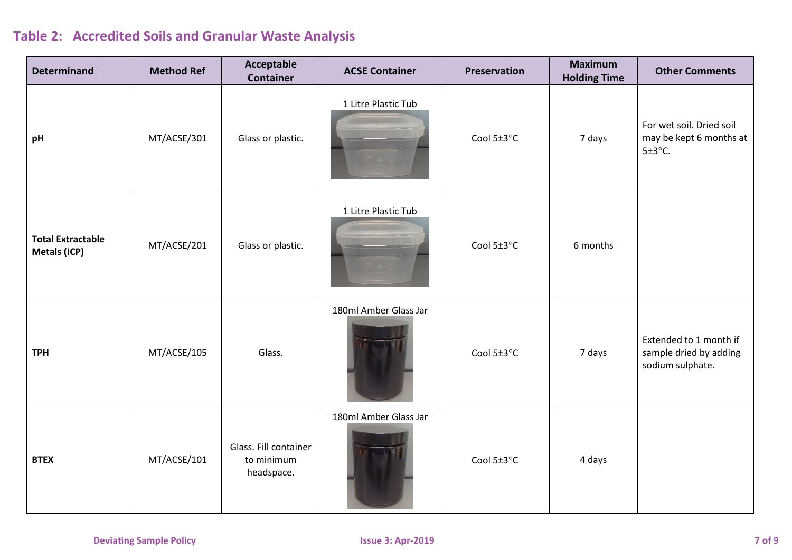## **Table 2: Accredited Soils and Granular Waste Analysis**

| <b>Determinand</b>                       | <b>Method Ref</b> | Acceptable<br><b>Container</b>                    | <b>ACSE Container</b> | Preservation | <b>Maximum</b><br><b>Holding Time</b> | <b>Other Comments</b>                                                |
|------------------------------------------|-------------------|---------------------------------------------------|-----------------------|--------------|---------------------------------------|----------------------------------------------------------------------|
| pH                                       | MT/ACSE/301       | Glass or plastic.                                 | 1 Litre Plastic Tub   | Cool 5±3°C   | 7 days                                | For wet soil. Dried soil<br>may be kept 6 months at<br>$5±3$ °C.     |
| <b>Total Extractable</b><br>Metals (ICP) | MT/ACSE/201       | Glass or plastic.                                 | 1 Litre Plastic Tub   | Cool 5±3°C   | 6 months                              |                                                                      |
| <b>TPH</b>                               | MT/ACSE/105       | Glass.                                            | 180ml Amber Glass Jar | Cool 5±3°C   | 7 days                                | Extended to 1 month if<br>sample dried by adding<br>sodium sulphate. |
| <b>BTEX</b>                              | MT/ACSE/101       | Glass. Fill container<br>to minimum<br>headspace. | 180ml Amber Glass Jar | Cool 5±3°C   | 4 days                                |                                                                      |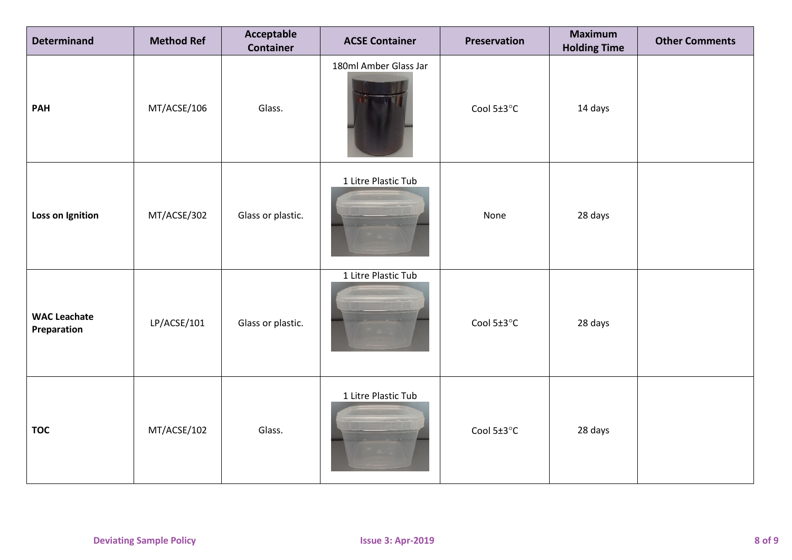| <b>Determinand</b>                 | <b>Method Ref</b> | Acceptable<br>Container | <b>ACSE Container</b> | Preservation | <b>Maximum</b><br><b>Holding Time</b> | <b>Other Comments</b> |
|------------------------------------|-------------------|-------------------------|-----------------------|--------------|---------------------------------------|-----------------------|
| <b>PAH</b>                         | MT/ACSE/106       | Glass.                  | 180ml Amber Glass Jar | Cool 5±3°C   | 14 days                               |                       |
| Loss on Ignition                   | MT/ACSE/302       | Glass or plastic.       | 1 Litre Plastic Tub   | None         | 28 days                               |                       |
| <b>WAC Leachate</b><br>Preparation | LP/ACSE/101       | Glass or plastic.       | 1 Litre Plastic Tub   | Cool 5±3°C   | 28 days                               |                       |
| <b>TOC</b>                         | MT/ACSE/102       | Glass.                  | 1 Litre Plastic Tub   | Cool 5±3°C   | 28 days                               |                       |